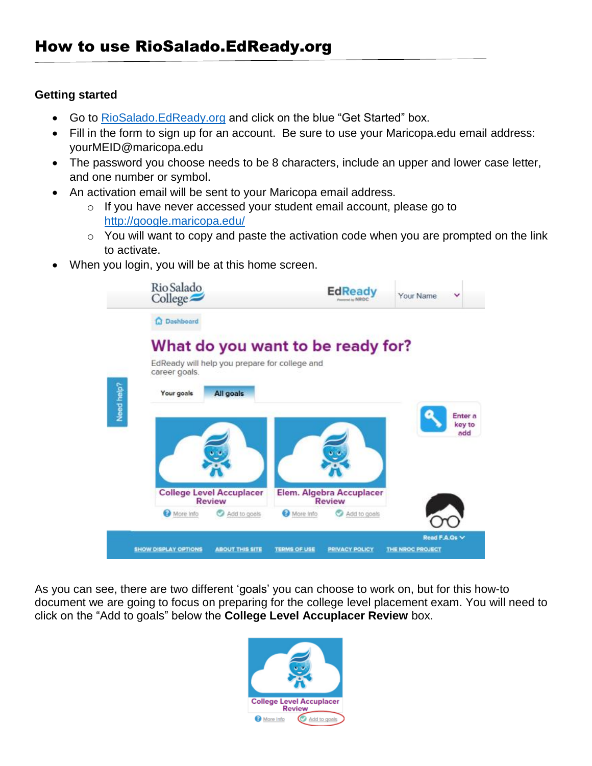## **Getting started**

- Go to [RioSalado.EdReady.org](http://riosalado.edready.org/) and click on the blue "Get Started" box.
- Fill in the form to sign up for an account. Be sure to use your Maricopa.edu email address: yourMEID@maricopa.edu
- The password you choose needs to be 8 characters, include an upper and lower case letter, and one number or symbol.
- An activation email will be sent to your Maricopa email address.
	- o If you have never accessed your student email account, please go to <http://google.maricopa.edu/>
	- $\circ$  You will want to copy and paste the activation code when you are prompted on the link to activate.
- When you login, you will be at this home screen.



As you can see, there are two different 'goals' you can choose to work on, but for this how-to document we are going to focus on preparing for the college level placement exam. You will need to click on the "Add to goals" below the **College Level Accuplacer Review** box.